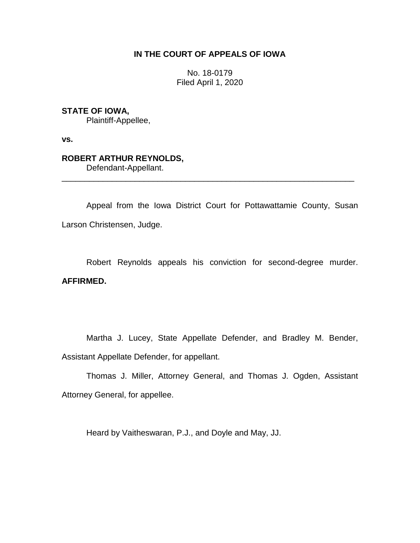## **IN THE COURT OF APPEALS OF IOWA**

No. 18-0179 Filed April 1, 2020

## **STATE OF IOWA,**

Plaintiff-Appellee,

**vs.**

# **ROBERT ARTHUR REYNOLDS,**

Defendant-Appellant.

Appeal from the Iowa District Court for Pottawattamie County, Susan Larson Christensen, Judge.

\_\_\_\_\_\_\_\_\_\_\_\_\_\_\_\_\_\_\_\_\_\_\_\_\_\_\_\_\_\_\_\_\_\_\_\_\_\_\_\_\_\_\_\_\_\_\_\_\_\_\_\_\_\_\_\_\_\_\_\_\_\_\_\_

Robert Reynolds appeals his conviction for second-degree murder. **AFFIRMED.**

Martha J. Lucey, State Appellate Defender, and Bradley M. Bender, Assistant Appellate Defender, for appellant.

Thomas J. Miller, Attorney General, and Thomas J. Ogden, Assistant Attorney General, for appellee.

Heard by Vaitheswaran, P.J., and Doyle and May, JJ.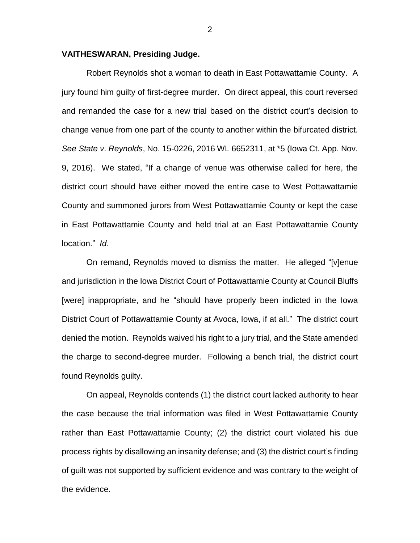#### **VAITHESWARAN, Presiding Judge.**

Robert Reynolds shot a woman to death in East Pottawattamie County. A jury found him guilty of first-degree murder. On direct appeal, this court reversed and remanded the case for a new trial based on the district court's decision to change venue from one part of the county to another within the bifurcated district. *See State v*. *Reynolds*, No. 15-0226, 2016 WL 6652311, at \*5 (Iowa Ct. App. Nov. 9, 2016). We stated, "If a change of venue was otherwise called for here, the district court should have either moved the entire case to West Pottawattamie County and summoned jurors from West Pottawattamie County or kept the case in East Pottawattamie County and held trial at an East Pottawattamie County location." *Id*.

On remand, Reynolds moved to dismiss the matter. He alleged "[v]enue and jurisdiction in the Iowa District Court of Pottawattamie County at Council Bluffs [were] inappropriate, and he "should have properly been indicted in the Iowa District Court of Pottawattamie County at Avoca, Iowa, if at all." The district court denied the motion. Reynolds waived his right to a jury trial, and the State amended the charge to second-degree murder. Following a bench trial, the district court found Reynolds guilty.

On appeal, Reynolds contends (1) the district court lacked authority to hear the case because the trial information was filed in West Pottawattamie County rather than East Pottawattamie County; (2) the district court violated his due process rights by disallowing an insanity defense; and (3) the district court's finding of guilt was not supported by sufficient evidence and was contrary to the weight of the evidence.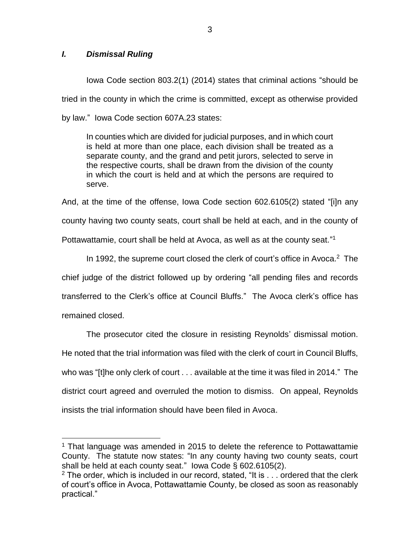## *I. Dismissal Ruling*

 $\overline{a}$ 

Iowa Code section 803.2(1) (2014) states that criminal actions "should be tried in the county in which the crime is committed, except as otherwise provided by law." Iowa Code section 607A.23 states:

In counties which are divided for judicial purposes, and in which court is held at more than one place, each division shall be treated as a separate county, and the grand and petit jurors, selected to serve in the respective courts, shall be drawn from the division of the county in which the court is held and at which the persons are required to serve.

And, at the time of the offense, Iowa Code section 602.6105(2) stated "[i]n any county having two county seats, court shall be held at each, and in the county of Pottawattamie, court shall be held at Avoca, as well as at the county seat."<sup>1</sup>

In 1992, the supreme court closed the clerk of court's office in Avoca.<sup>2</sup> The chief judge of the district followed up by ordering "all pending files and records transferred to the Clerk's office at Council Bluffs." The Avoca clerk's office has remained closed.

The prosecutor cited the closure in resisting Reynolds' dismissal motion. He noted that the trial information was filed with the clerk of court in Council Bluffs, who was "[t]he only clerk of court . . . available at the time it was filed in 2014." The district court agreed and overruled the motion to dismiss. On appeal, Reynolds insists the trial information should have been filed in Avoca.

<sup>&</sup>lt;sup>1</sup> That language was amended in 2015 to delete the reference to Pottawattamie County. The statute now states: "In any county having two county seats, court shall be held at each county seat." Iowa Code § 602.6105(2).

 $2$  The order, which is included in our record, stated, "It is  $\ldots$  ordered that the clerk of court's office in Avoca, Pottawattamie County, be closed as soon as reasonably practical."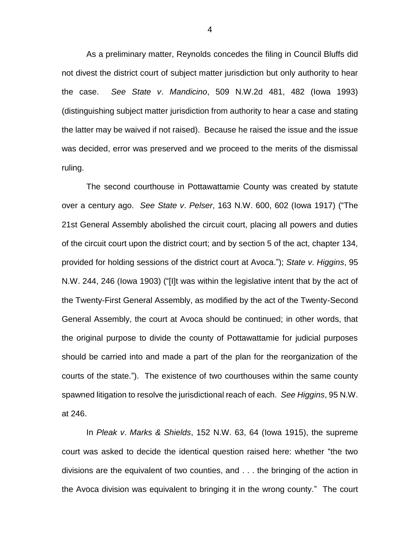As a preliminary matter, Reynolds concedes the filing in Council Bluffs did not divest the district court of subject matter jurisdiction but only authority to hear the case. *See State v*. *Mandicino*, 509 N.W.2d 481, 482 (Iowa 1993) (distinguishing subject matter jurisdiction from authority to hear a case and stating the latter may be waived if not raised). Because he raised the issue and the issue was decided, error was preserved and we proceed to the merits of the dismissal ruling.

The second courthouse in Pottawattamie County was created by statute over a century ago. *See State v*. *Pelser*, 163 N.W. 600, 602 (Iowa 1917) ("The 21st General Assembly abolished the circuit court, placing all powers and duties of the circuit court upon the district court; and by section 5 of the act, chapter 134, provided for holding sessions of the district court at Avoca."); *State v*. *Higgins*, 95 N.W. 244, 246 (Iowa 1903) ("[I]t was within the legislative intent that by the act of the Twenty-First General Assembly, as modified by the act of the Twenty-Second General Assembly, the court at Avoca should be continued; in other words, that the original purpose to divide the county of Pottawattamie for judicial purposes should be carried into and made a part of the plan for the reorganization of the courts of the state."). The existence of two courthouses within the same county spawned litigation to resolve the jurisdictional reach of each. *See Higgins*, 95 N.W. at 246.

In *Pleak v*. *Marks & Shields*, 152 N.W. 63, 64 (Iowa 1915), the supreme court was asked to decide the identical question raised here: whether "the two divisions are the equivalent of two counties, and . . . the bringing of the action in the Avoca division was equivalent to bringing it in the wrong county." The court

4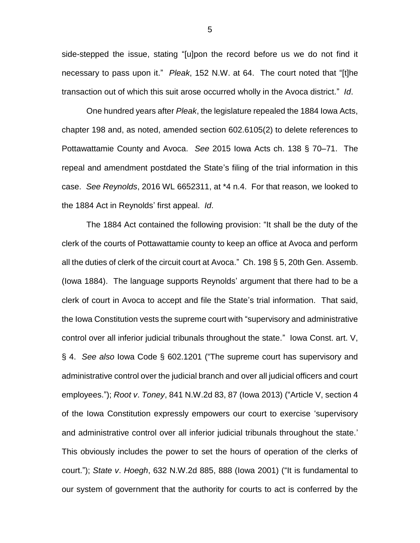side-stepped the issue, stating "[u]pon the record before us we do not find it necessary to pass upon it." *Pleak*, 152 N.W. at 64. The court noted that "[t]he transaction out of which this suit arose occurred wholly in the Avoca district." *Id*.

One hundred years after *Pleak*, the legislature repealed the 1884 Iowa Acts, chapter 198 and, as noted, amended section 602.6105(2) to delete references to Pottawattamie County and Avoca. *See* 2015 Iowa Acts ch. 138 § 70–71. The repeal and amendment postdated the State's filing of the trial information in this case. *See Reynolds*, 2016 WL 6652311, at \*4 n.4. For that reason, we looked to the 1884 Act in Reynolds' first appeal. *Id*.

The 1884 Act contained the following provision: "It shall be the duty of the clerk of the courts of Pottawattamie county to keep an office at Avoca and perform all the duties of clerk of the circuit court at Avoca." Ch. 198 § 5, 20th Gen. Assemb. (Iowa 1884). The language supports Reynolds' argument that there had to be a clerk of court in Avoca to accept and file the State's trial information. That said, the Iowa Constitution vests the supreme court with "supervisory and administrative control over all inferior judicial tribunals throughout the state." Iowa Const. art. V, § 4. *See also* Iowa Code § 602.1201 ("The supreme court has supervisory and administrative control over the judicial branch and over all judicial officers and court employees."); *Root v*. *Toney*, 841 N.W.2d 83, 87 (Iowa 2013) ("Article V, section 4 of the Iowa Constitution expressly empowers our court to exercise 'supervisory and administrative control over all inferior judicial tribunals throughout the state.' This obviously includes the power to set the hours of operation of the clerks of court."); *State v*. *Hoegh*, 632 N.W.2d 885, 888 (Iowa 2001) ("It is fundamental to our system of government that the authority for courts to act is conferred by the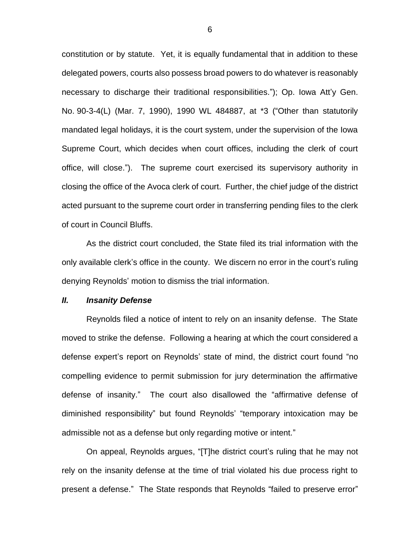constitution or by statute. Yet, it is equally fundamental that in addition to these delegated powers, courts also possess broad powers to do whatever is reasonably necessary to discharge their traditional responsibilities."); Op. Iowa Att'y Gen. No. 90-3-4(L) (Mar. 7, 1990), 1990 WL 484887, at \*3 ("Other than statutorily mandated legal holidays, it is the court system, under the supervision of the Iowa Supreme Court, which decides when court offices, including the clerk of court office, will close."). The supreme court exercised its supervisory authority in closing the office of the Avoca clerk of court. Further, the chief judge of the district acted pursuant to the supreme court order in transferring pending files to the clerk of court in Council Bluffs.

As the district court concluded, the State filed its trial information with the only available clerk's office in the county. We discern no error in the court's ruling denying Reynolds' motion to dismiss the trial information.

#### *II. Insanity Defense*

Reynolds filed a notice of intent to rely on an insanity defense. The State moved to strike the defense. Following a hearing at which the court considered a defense expert's report on Reynolds' state of mind, the district court found "no compelling evidence to permit submission for jury determination the affirmative defense of insanity." The court also disallowed the "affirmative defense of diminished responsibility" but found Reynolds' "temporary intoxication may be admissible not as a defense but only regarding motive or intent."

On appeal, Reynolds argues, "[T]he district court's ruling that he may not rely on the insanity defense at the time of trial violated his due process right to present a defense." The State responds that Reynolds "failed to preserve error"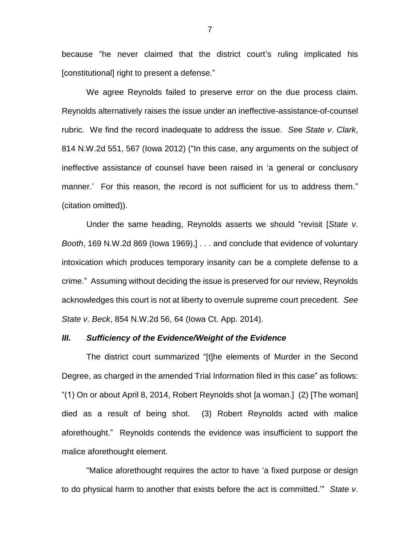because "he never claimed that the district court's ruling implicated his [constitutional] right to present a defense."

We agree Reynolds failed to preserve error on the due process claim. Reynolds alternatively raises the issue under an ineffective-assistance-of-counsel rubric. We find the record inadequate to address the issue. *Se*e *State v*. *Clark*, 814 N.W.2d 551, 567 (Iowa 2012) ("In this case, any arguments on the subject of ineffective assistance of counsel have been raised in 'a general or conclusory manner.' For this reason, the record is not sufficient for us to address them." (citation omitted)).

Under the same heading, Reynolds asserts we should "revisit [*State v*. *Booth*, 169 N.W.2d 869 (Iowa 1969),] . . . and conclude that evidence of voluntary intoxication which produces temporary insanity can be a complete defense to a crime." Assuming without deciding the issue is preserved for our review, Reynolds acknowledges this court is not at liberty to overrule supreme court precedent. *See State v*. *Beck*, 854 N.W.2d 56, 64 (Iowa Ct. App. 2014).

#### *III. Sufficiency of the Evidence/Weight of the Evidence*

The district court summarized "[t]he elements of Murder in the Second Degree, as charged in the amended Trial Information filed in this case" as follows: "(1) On or about April 8, 2014, Robert Reynolds shot [a woman.] (2) [The woman] died as a result of being shot. (3) Robert Reynolds acted with malice aforethought." Reynolds contends the evidence was insufficient to support the malice aforethought element.

"Malice aforethought requires the actor to have 'a fixed purpose or design to do physical harm to another that exists before the act is committed.'" *State v*.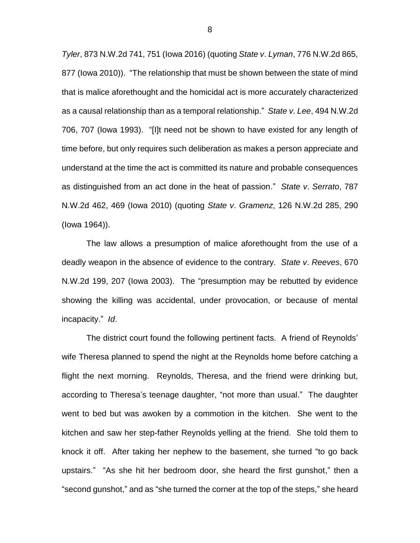*Tyler*, 873 N.W.2d 741, 751 (Iowa 2016) (quoting *State v*. *Lyman*, 776 N.W.2d 865, 877 (Iowa 2010)). "The relationship that must be shown between the state of mind that is malice aforethought and the homicidal act is more accurately characterized as a causal relationship than as a temporal relationship." *State v*. *Lee*, 494 N.W.2d 706, 707 (Iowa 1993). "[I]t need not be shown to have existed for any length of time before, but only requires such deliberation as makes a person appreciate and understand at the time the act is committed its nature and probable consequences as distinguished from an act done in the heat of passion." *State v*. *Serrato*, 787 N.W.2d 462, 469 (Iowa 2010) (quoting *State v*. *Gramenz*, 126 N.W.2d 285, 290 (Iowa 1964)).

The law allows a presumption of malice aforethought from the use of a deadly weapon in the absence of evidence to the contrary. *State v*. *Reeves*, 670 N.W.2d 199, 207 (Iowa 2003). The "presumption may be rebutted by evidence showing the killing was accidental, under provocation, or because of mental incapacity." *Id*.

The district court found the following pertinent facts. A friend of Reynolds' wife Theresa planned to spend the night at the Reynolds home before catching a flight the next morning. Reynolds, Theresa, and the friend were drinking but, according to Theresa's teenage daughter, "not more than usual." The daughter went to bed but was awoken by a commotion in the kitchen. She went to the kitchen and saw her step-father Reynolds yelling at the friend. She told them to knock it off. After taking her nephew to the basement, she turned "to go back upstairs." "As she hit her bedroom door, she heard the first gunshot," then a "second gunshot," and as "she turned the corner at the top of the steps," she heard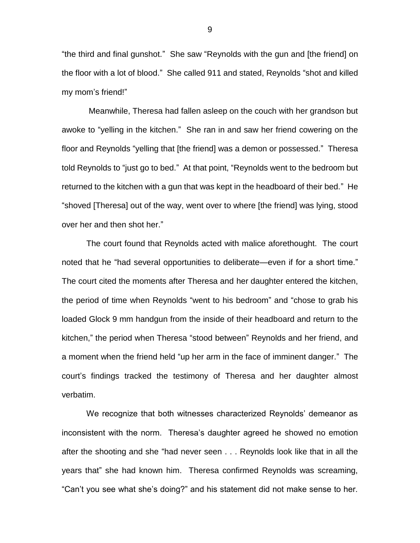"the third and final gunshot." She saw "Reynolds with the gun and [the friend] on the floor with a lot of blood." She called 911 and stated, Reynolds "shot and killed my mom's friend!"

Meanwhile, Theresa had fallen asleep on the couch with her grandson but awoke to "yelling in the kitchen." She ran in and saw her friend cowering on the floor and Reynolds "yelling that [the friend] was a demon or possessed." Theresa told Reynolds to "just go to bed." At that point, "Reynolds went to the bedroom but returned to the kitchen with a gun that was kept in the headboard of their bed." He "shoved [Theresa] out of the way, went over to where [the friend] was lying, stood over her and then shot her."

The court found that Reynolds acted with malice aforethought. The court noted that he "had several opportunities to deliberate—even if for a short time." The court cited the moments after Theresa and her daughter entered the kitchen, the period of time when Reynolds "went to his bedroom" and "chose to grab his loaded Glock 9 mm handgun from the inside of their headboard and return to the kitchen," the period when Theresa "stood between" Reynolds and her friend, and a moment when the friend held "up her arm in the face of imminent danger." The court's findings tracked the testimony of Theresa and her daughter almost verbatim.

We recognize that both witnesses characterized Reynolds' demeanor as inconsistent with the norm. Theresa's daughter agreed he showed no emotion after the shooting and she "had never seen . . . Reynolds look like that in all the years that" she had known him. Theresa confirmed Reynolds was screaming, "Can't you see what she's doing?" and his statement did not make sense to her.

9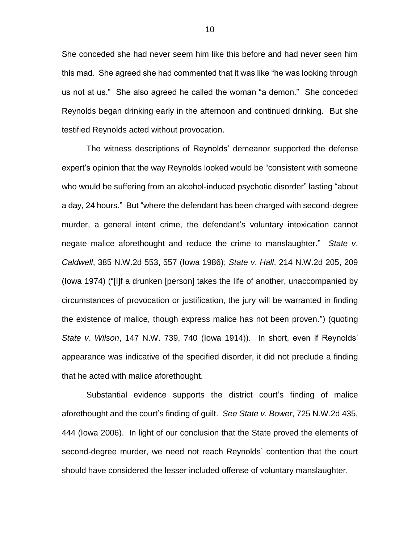She conceded she had never seem him like this before and had never seen him this mad. She agreed she had commented that it was like "he was looking through us not at us." She also agreed he called the woman "a demon." She conceded Reynolds began drinking early in the afternoon and continued drinking. But she testified Reynolds acted without provocation.

The witness descriptions of Reynolds' demeanor supported the defense expert's opinion that the way Reynolds looked would be "consistent with someone who would be suffering from an alcohol-induced psychotic disorder" lasting "about a day, 24 hours." But "where the defendant has been charged with second-degree murder, a general intent crime, the defendant's voluntary intoxication cannot negate malice aforethought and reduce the crime to manslaughter." *State v*. *Caldwell*, 385 N.W.2d 553, 557 (Iowa 1986); *State v*. *Hall*, 214 N.W.2d 205, 209 (Iowa 1974) ("[I]f a drunken [person] takes the life of another, unaccompanied by circumstances of provocation or justification, the jury will be warranted in finding the existence of malice, though express malice has not been proven.") (quoting *State v*. *Wilson*, 147 N.W. 739, 740 (Iowa 1914)). In short, even if Reynolds' appearance was indicative of the specified disorder, it did not preclude a finding that he acted with malice aforethought.

Substantial evidence supports the district court's finding of malice aforethought and the court's finding of guilt. *See State v*. *Bower*, 725 N.W.2d 435, 444 (Iowa 2006). In light of our conclusion that the State proved the elements of second-degree murder, we need not reach Reynolds' contention that the court should have considered the lesser included offense of voluntary manslaughter.